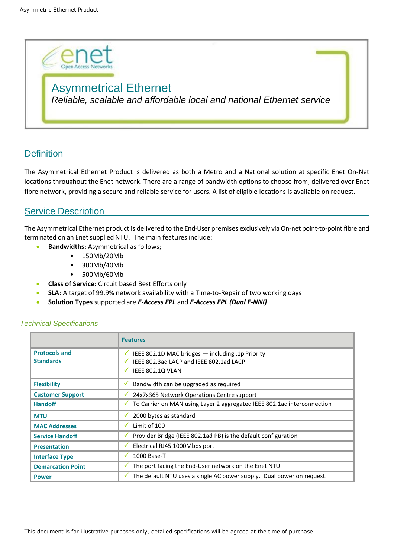

# Asymmetrical Ethernet

*Reliable, scalable and affordable local and national Ethernet service*

# **Definition**

The Asymmetrical Ethernet Product is delivered as both a Metro and a National solution at specific Enet On-Net locations throughout the Enet network. There are a range of bandwidth options to choose from, delivered over Enet fibre network, providing a secure and reliable service for users. A list of eligible locations is available on request.

## **Service Description**

The Asymmetrical Ethernet product is delivered to the End-User premises exclusively via On-net point-to-point fibre and terminated on an Enet supplied NTU. The main features include:

- **Bandwidths:** Asymmetrical as follows;
	- 150Mb/20Mb
	- 300Mb/40Mb
	- 500Mb/60Mb
- **Class of Service:** Circuit based Best Efforts only
- **SLA:** A target of 99.9% network availability with a Time-to-Repair of two working days
- **Solution Types** supported are *E-Access EPL* and *E-Access EPL (Dual E-NNI)*

|                                          | <b>Features</b>                                                                                                                          |
|------------------------------------------|------------------------------------------------------------------------------------------------------------------------------------------|
| <b>Protocols and</b><br><b>Standards</b> | V IEEE 802.1D MAC bridges $-$ including .1p Priority<br>IEEE 802.3ad LACP and IEEE 802.1ad LACP<br>✓<br>IEEE 802.1Q VLAN<br>$\checkmark$ |
| <b>Flexibility</b>                       | Bandwidth can be upgraded as required<br>v.                                                                                              |
| <b>Customer Support</b>                  | 24x7x365 Network Operations Centre support<br>v                                                                                          |
| <b>Handoff</b>                           | √ To Carrier on MAN using Layer 2 aggregated IEEE 802.1ad interconnection                                                                |
| <b>MTU</b>                               | 2000 bytes as standard<br>v                                                                                                              |
| <b>MAC Addresses</b>                     | Limit of 100<br>✔                                                                                                                        |
| <b>Service Handoff</b>                   | Provider Bridge (IEEE 802.1ad PB) is the default configuration<br>v                                                                      |
| <b>Presentation</b>                      | Electrical RJ45 1000Mbps port<br>v                                                                                                       |
| <b>Interface Type</b>                    | 1000 Base-T<br>✓                                                                                                                         |
| <b>Demarcation Point</b>                 | The port facing the End-User network on the Enet NTU<br>v.                                                                               |
| <b>Power</b>                             | The default NTU uses a single AC power supply. Dual power on request.<br>v.                                                              |

#### *Technical Specifications*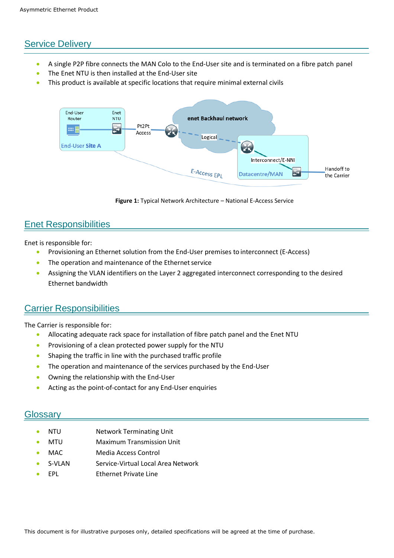## Service Delivery

- A single P2P fibre connects the MAN Colo to the End-User site and is terminated on a fibre patch panel
- The Enet NTU is then installed at the End-User site
- This product is available at specific locations that require minimal external civils



**Figure 1:** Typical Network Architecture – National E-Access Service

### Enet Responsibilities

Enet is responsible for:

- Provisioning an Ethernet solution from the End-User premises to interconnect (E-Access)
- The operation and maintenance of the Ethernet service
- Assigning the VLAN identifiers on the Layer 2 aggregated interconnect corresponding to the desired Ethernet bandwidth

### Carrier Responsibilities

The Carrier is responsible for:

- Allocating adequate rack space for installation of fibre patch panel and the Enet NTU
- Provisioning of a clean protected power supply for the NTU
- Shaping the traffic in line with the purchased traffic profile
- The operation and maintenance of the services purchased by the End-User
- Owning the relationship with the End-User
- Acting as the point-of-contact for any End-User enquiries

#### Glossary

- NTU Network Terminating Unit
- MTU Maximum Transmission Unit
- MAC Media Access Control
- S-VLAN Service-Virtual Local Area Network
- EPL Ethernet Private Line